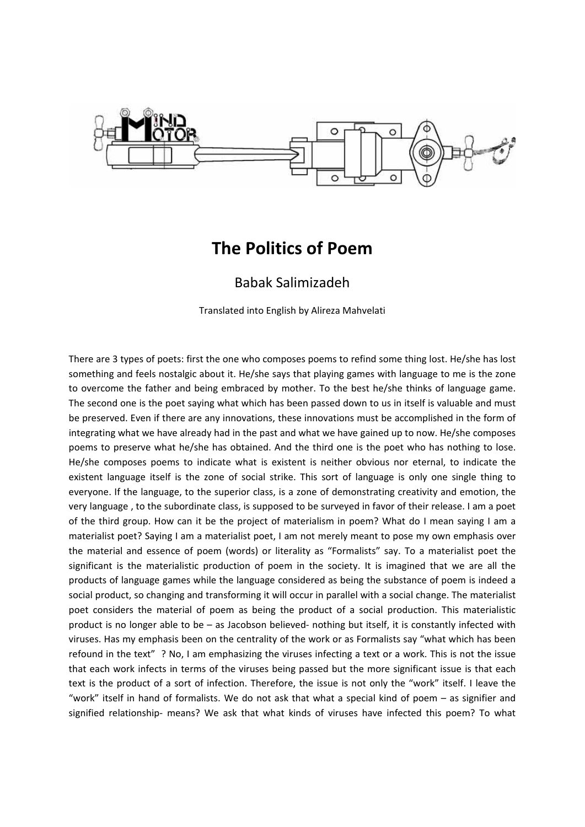

## **The Politics of Poem**

## Babak Salimizadeh

Translated into English by Alireza Mahvelati

There are 3 types of poets: first the one who composes poems to refind some thing lost. He/she has lost something and feels nostalgic about it. He/she says that playing games with language to me is the zone to overcome the father and being embraced by mother. To the best he/she thinks of language game. The second one is the poet saying what which has been passed down to us in itself is valuable and must be preserved. Even if there are any innovations, these innovations must be accomplished in the form of integrating what we have already had in the past and what we have gained up to now. He/she composes poems to preserve what he/she has obtained. And the third one is the poet who has nothing to lose. He/she composes poems to indicate what is existent is neither obvious nor eternal, to indicate the existent language itself is the zone of social strike. This sort of language is only one single thing to everyone. If the language, to the superior class, is a zone of demonstrating creativity and emotion, the very language , to the subordinate class, is supposed to be surveyed in favor of their release. I am a poet of the third group. How can it be the project of materialism in poem? What do I mean saying I am a materialist poet? Saying I am a materialist poet, I am not merely meant to pose my own emphasis over the material and essence of poem (words) or literality as "Formalists" say. To a materialist poet the significant is the materialistic production of poem in the society. It is imagined that we are all the products of language games while the language considered as being the substance of poem is indeed a social product, so changing and transforming it will occur in parallel with a social change. The materialist poet considers the material of poem as being the product of a social production. This materialistic product is no longer able to be – as Jacobson believed‐ nothing but itself, it is constantly infected with viruses. Has my emphasis been on the centrality of the work or as Formalists say "what which has been refound in the text" ? No, I am emphasizing the viruses infecting a text or a work. This is not the issue that each work infects in terms of the viruses being passed but the more significant issue is that each text is the product of a sort of infection. Therefore, the issue is not only the "work" itself. I leave the "work" itself in hand of formalists. We do not ask that what a special kind of poem – as signifier and signified relationship- means? We ask that what kinds of viruses have infected this poem? To what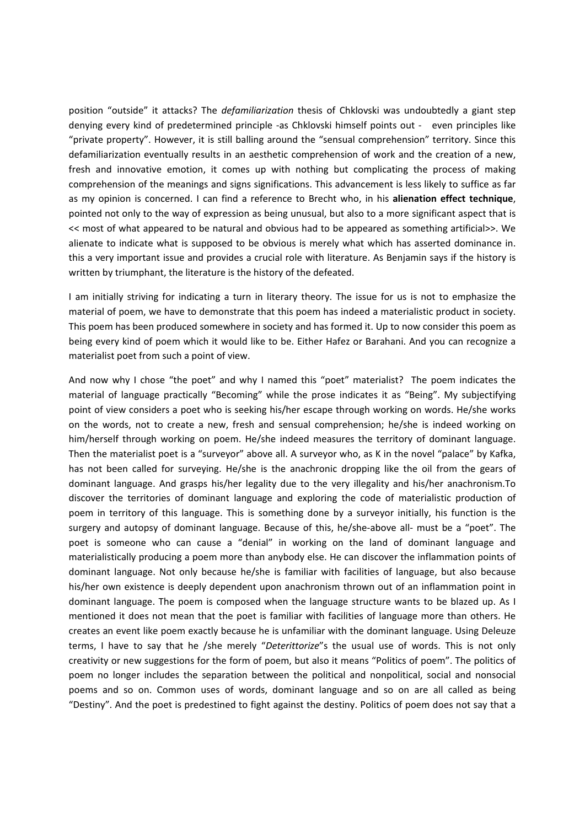position "outside" it attacks? The *defamiliarization* thesis of Chklovski was undoubtedly a giant step denying every kind of predetermined principle -as Chklovski himself points out - even principles like "private property". However, it is still balling around the "sensual comprehension" territory. Since this defamiliarization eventually results in an aesthetic comprehension of work and the creation of a new, fresh and innovative emotion, it comes up with nothing but complicating the process of making comprehension of the meanings and signs significations. This advancement is less likely to suffice as far as my opinion is concerned. I can find a reference to Brecht who, in his **alienation effect technique**, pointed not only to the way of expression as being unusual, but also to a more significant aspect that is << most of what appeared to be natural and obvious had to be appeared as something artificial>>. We alienate to indicate what is supposed to be obvious is merely what which has asserted dominance in. this a very important issue and provides a crucial role with literature. As Benjamin says if the history is written by triumphant, the literature is the history of the defeated.

I am initially striving for indicating a turn in literary theory. The issue for us is not to emphasize the material of poem, we have to demonstrate that this poem has indeed a materialistic product in society. This poem has been produced somewhere in society and has formed it. Up to now consider this poem as being every kind of poem which it would like to be. Either Hafez or Barahani. And you can recognize a materialist poet from such a point of view.

And now why I chose "the poet" and why I named this "poet" materialist? The poem indicates the material of language practically "Becoming" while the prose indicates it as "Being". My subjectifying point of view considers a poet who is seeking his/her escape through working on words. He/she works on the words, not to create a new, fresh and sensual comprehension; he/she is indeed working on him/herself through working on poem. He/she indeed measures the territory of dominant language. Then the materialist poet is a "surveyor" above all. A surveyor who, as K in the novel "palace" by Kafka, has not been called for surveying. He/she is the anachronic dropping like the oil from the gears of dominant language. And grasps his/her legality due to the very illegality and his/her anachronism.To discover the territories of dominant language and exploring the code of materialistic production of poem in territory of this language. This is something done by a surveyor initially, his function is the surgery and autopsy of dominant language. Because of this, he/she-above all- must be a "poet". The poet is someone who can cause a "denial" in working on the land of dominant language and materialistically producing a poem more than anybody else. He can discover the inflammation points of dominant language. Not only because he/she is familiar with facilities of language, but also because his/her own existence is deeply dependent upon anachronism thrown out of an inflammation point in dominant language. The poem is composed when the language structure wants to be blazed up. As I mentioned it does not mean that the poet is familiar with facilities of language more than others. He creates an event like poem exactly because he is unfamiliar with the dominant language. Using Deleuze terms, I have to say that he /she merely "*Deterittorize*"s the usual use of words. This is not only creativity or new suggestions for the form of poem, but also it means "Politics of poem". The politics of poem no longer includes the separation between the political and nonpolitical, social and nonsocial poems and so on. Common uses of words, dominant language and so on are all called as being "Destiny". And the poet is predestined to fight against the destiny. Politics of poem does not say that a